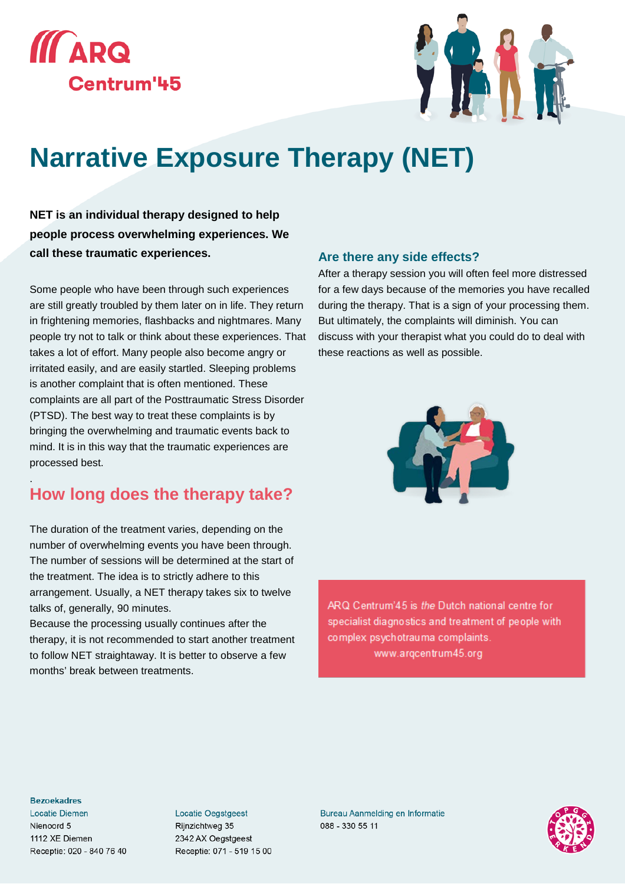



# **Narrative Exposure Therapy (NET)**

**NET is an individual therapy designed to help people process overwhelming experiences. We call these traumatic experiences.**

Some people who have been through such experiences are still greatly troubled by them later on in life. They return in frightening memories, flashbacks and nightmares. Many people try not to talk or think about these experiences. That takes a lot of effort. Many people also become angry or irritated easily, and are easily startled. Sleeping problems is another complaint that is often mentioned. These complaints are all part of the Posttraumatic Stress Disorder (PTSD). The best way to treat these complaints is by bringing the overwhelming and traumatic events back to mind. It is in this way that the traumatic experiences are processed best.

## . **How long does the therapy take?**

The duration of the treatment varies, depending on the number of overwhelming events you have been through. The number of sessions will be determined at the start of the treatment. The idea is to strictly adhere to this arrangement. Usually, a NET therapy takes six to twelve talks of, generally, 90 minutes.

Because the processing usually continues after the therapy, it is not recommended to start another treatment to follow NET straightaway. It is better to observe a few months' break between treatments.

## **Are there any side effects?**

After a therapy session you will often feel more distressed for a few days because of the memories you have recalled during the therapy. That is a sign of your processing them. But ultimately, the complaints will diminish. You can discuss with your therapist what you could do to deal with these reactions as well as possible.



ARQ Centrum'45 is the Dutch national centre for specialist diagnostics and treatment of people with complex psychotrauma complaints. www.argcentrum45.org

#### **Bezoekadres**

**Locatie Diemen** Nienoord 5 1112 XE Diemen Receptie: 020 - 840 76 40 **Locatie Oegstgeest** Rijnzichtweg 35 2342 AX Oegstgeest Receptie: 071 - 519 15 00

**Bureau Aanmelding en Informatie** 088 - 330 55 11